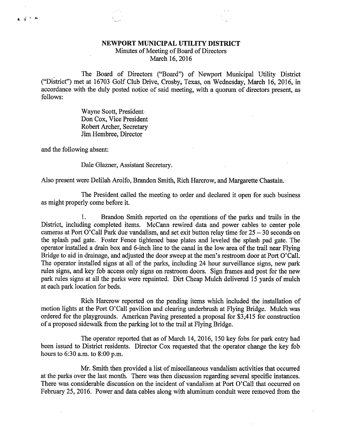## NEWPORT MUNICIPAL UTILITY DISTRICT

## Minutes of Meeting of Board of Directors March 16, 2016

The Board of Directors ("Board") of Newport Municipal Utility District ("District") met at 16703 Golf Club Drive, Crosby, Texas, on Wednesday, March 16, 2016, in accordance with the duly posted notice of said meeting, with a quorum of directors present, as follows:

> Wayne Scott, President, Don Cox, Vice President Robert Archer, Secretary Jim Hembree, Director

and the following absent:

 $\mathbf{a}$  ,  $\vec{d}$  is an

Dale Glazner, Assistant Secretary.

Also present were Delilah Arolfo, Brandon Smith, Rich Harcrow, and Margarette Chastain.

The President called the meeting to order and declared it open for such business as might properly come before it.

1. Brandon Smith reported on the operations of the parks and trails in the District, including completed items. McCann rewired data and power cables to center pole cameras at Port O'Call Park due vandalism, and set exit button relay time for  $25 - 30$  seconds on the splash pad gate. Foster Fence tightened base plates and leveled the splash pad gate. The operator installed a drain box and 6-inch line to the canal in the low area of the trail near Flying Bridge to aid in drainage, and adjusted the door sweep at the men's restroom door at Port O'Call. The operator installed signs at all of the parks, including 24 hour surveillance signs, new park rules signs, and key fob access only signs on restroom doors. Sign frames and post for the new park rules signs at all the parks were repainted. Dirt Cheap Mulch delivered 15 yards of mulch at each park location for beds.

Rich Harcrow reported on the pending items which included the installation of motion lights at the Port O'Call pavilion and clearing underbrush at Flying Bridge. Mulch was ordered for the playgrounds. American Paving presented a proposal for \$3,415 for construction of a proposed sidewalk from the parking lot to the trail at Flying Bridge.

The operator reported that as of March 14, 2016, 150 key fobs for park entry had been issued to District residents. Director Cox requested that the operator change the key fob hours to 6:30 a.m. to 8:00 p.m.

Mr. Smith then provided a list of miscellaneous vandalism activities that occurred at the parks over the last month. There was then discussion regarding several specific instances. There was considerable discussion on the incident of vandalism at Port O'Call that occurred on February 25, 2016. Power and data cables along with aluminum conduit were removed from the